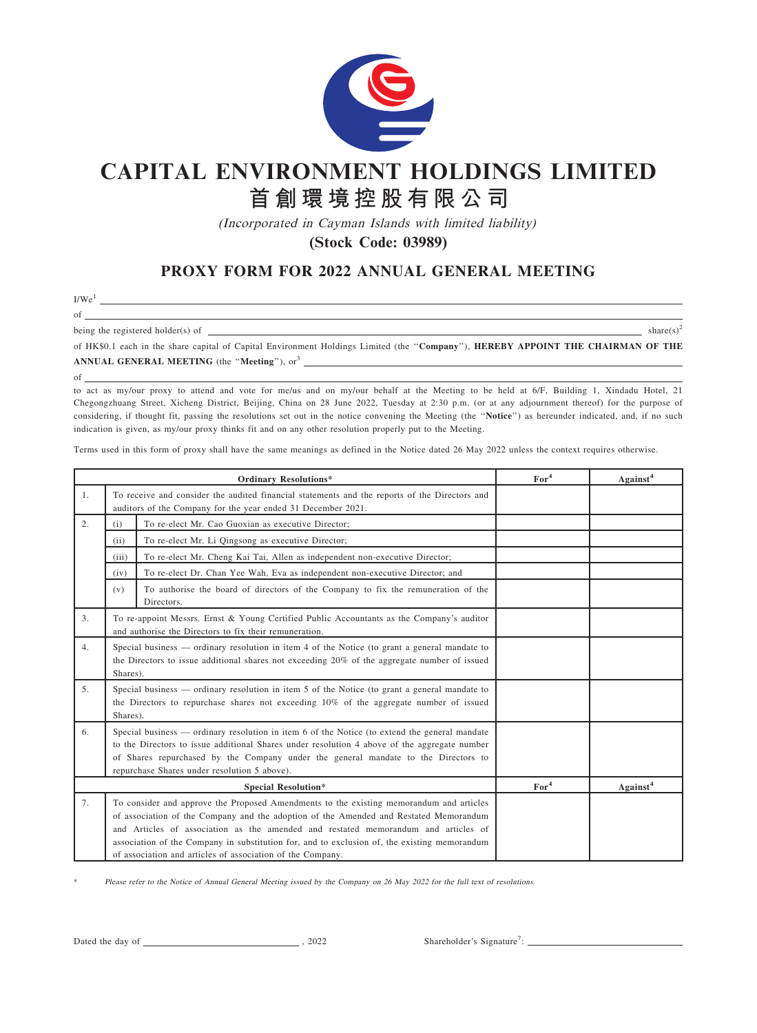

## **CAPITAL ENVIRONMENT HOLDINGS LIMITED**

## **首創環境控股有限公司**

(Incorporated in Cayman Islands with limited liability)

**(Stock Code: 03989)**

## PROXY FORM FOR 2022 ANNUAL GENERAL MEETING

I/We<sup>1</sup>

of being the registered holder(s) of  $\frac{1}{s}$  share(s)<sup>2</sup> share(s)<sup>2</sup> share(s)<sup>2</sup>

of HK\$0.1 each in the share capital of Capital Environment Holdings Limited (the ''Company''), HEREBY APPOINT THE CHAIRMAN OF THE ANNUAL GENERAL MEETING (the "Meeting"), or<sup>3</sup>

of

to act as my/our proxy to attend and vote for me/us and on my/our behalf at the Meeting to be held at 6/F, Building 1, Xindadu Hotel, 21 Chegongzhuang Street, Xicheng District, Beijing, China on 28 June 2022, Tuesday at 2:30 p.m. (or at any adjournment thereof) for the purpose of considering, if thought fit, passing the resolutions set out in the notice convening the Meeting (the "Notice") as hereunder indicated, and, if no such indication is given, as my/our proxy thinks fit and on any other resolution properly put to the Meeting.

Terms used in this form of proxy shall have the same meanings as defined in the Notice dated 26 May 2022 unless the context requires otherwise.

| <b>Ordinary Resolutions*</b> |                                                                                                                                                                                                                                                                                                                                                                                                                                      | For <sup>4</sup> | Against <sup>4</sup> |
|------------------------------|--------------------------------------------------------------------------------------------------------------------------------------------------------------------------------------------------------------------------------------------------------------------------------------------------------------------------------------------------------------------------------------------------------------------------------------|------------------|----------------------|
| 1.                           | To receive and consider the audited financial statements and the reports of the Directors and<br>auditors of the Company for the year ended 31 December 2021.                                                                                                                                                                                                                                                                        |                  |                      |
| 2.                           | To re-elect Mr. Cao Guoxian as executive Director;<br>(i)                                                                                                                                                                                                                                                                                                                                                                            |                  |                      |
|                              | To re-elect Mr. Li Qingsong as executive Director;<br>(ii)                                                                                                                                                                                                                                                                                                                                                                           |                  |                      |
|                              | (iii)<br>To re-elect Mr. Cheng Kai Tai, Allen as independent non-executive Director;                                                                                                                                                                                                                                                                                                                                                 |                  |                      |
|                              | To re-elect Dr. Chan Yee Wah, Eva as independent non-executive Director; and<br>(iv)                                                                                                                                                                                                                                                                                                                                                 |                  |                      |
|                              | To authorise the board of directors of the Company to fix the remuneration of the<br>(v)<br>Directors.                                                                                                                                                                                                                                                                                                                               |                  |                      |
| 3.                           | To re-appoint Messrs. Ernst & Young Certified Public Accountants as the Company's auditor<br>and authorise the Directors to fix their remuneration.                                                                                                                                                                                                                                                                                  |                  |                      |
| 4.                           | Special business — ordinary resolution in item 4 of the Notice (to grant a general mandate to<br>the Directors to issue additional shares not exceeding 20% of the aggregate number of issued<br>Shares).                                                                                                                                                                                                                            |                  |                      |
| 5.                           | Special business — ordinary resolution in item 5 of the Notice (to grant a general mandate to<br>the Directors to repurchase shares not exceeding $10\%$ of the aggregate number of issued<br>Shares).                                                                                                                                                                                                                               |                  |                      |
| 6.                           | Special business — ordinary resolution in item 6 of the Notice (to extend the general mandate<br>to the Directors to issue additional Shares under resolution 4 above of the aggregate number<br>of Shares repurchased by the Company under the general mandate to the Directors to<br>repurchase Shares under resolution 5 above).                                                                                                  |                  |                      |
|                              | <b>Special Resolution*</b>                                                                                                                                                                                                                                                                                                                                                                                                           | For <sup>4</sup> | Against <sup>4</sup> |
| 7.                           | To consider and approve the Proposed Amendments to the existing memorandum and articles<br>of association of the Company and the adoption of the Amended and Restated Memorandum<br>and Articles of association as the amended and restated memorandum and articles of<br>association of the Company in substitution for, and to exclusion of, the existing memorandum<br>of association and articles of association of the Company. |                  |                      |

Please refer to the Notice of Annual General Meeting issued by the Company on 26 May 2022 for the full text of resolutions.

Dated the day of , 2022

: